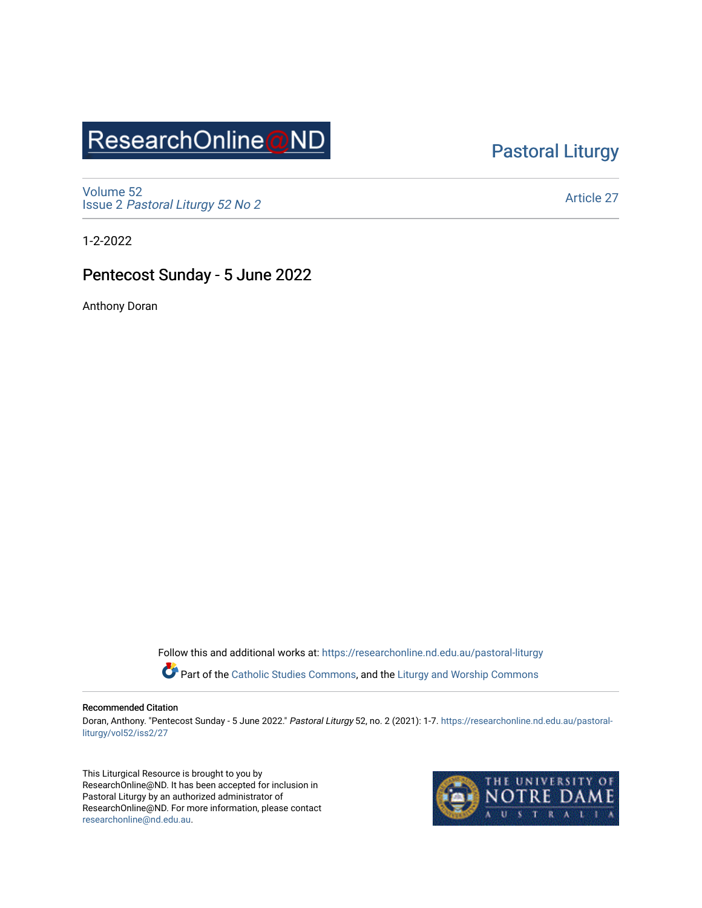## ResearchOnline@ND

### [Pastoral Liturgy](https://researchonline.nd.edu.au/pastoral-liturgy)

[Volume 52](https://researchonline.nd.edu.au/pastoral-liturgy/vol52) Issue 2 [Pastoral Liturgy 52 No 2](https://researchonline.nd.edu.au/pastoral-liturgy/vol52/iss2)

[Article 27](https://researchonline.nd.edu.au/pastoral-liturgy/vol52/iss2/27) 

1-2-2022

### Pentecost Sunday - 5 June 2022

Anthony Doran

Follow this and additional works at: [https://researchonline.nd.edu.au/pastoral-liturgy](https://researchonline.nd.edu.au/pastoral-liturgy?utm_source=researchonline.nd.edu.au%2Fpastoral-liturgy%2Fvol52%2Fiss2%2F27&utm_medium=PDF&utm_campaign=PDFCoverPages)

Part of the [Catholic Studies Commons,](http://network.bepress.com/hgg/discipline/1294?utm_source=researchonline.nd.edu.au%2Fpastoral-liturgy%2Fvol52%2Fiss2%2F27&utm_medium=PDF&utm_campaign=PDFCoverPages) and the Liturgy and Worship Commons

#### Recommended Citation

Doran, Anthony. "Pentecost Sunday - 5 June 2022." Pastoral Liturgy 52, no. 2 (2021): 1-7. [https://researchonline.nd.edu.au/pastoral](https://researchonline.nd.edu.au/pastoral-liturgy/vol52/iss2/27?utm_source=researchonline.nd.edu.au%2Fpastoral-liturgy%2Fvol52%2Fiss2%2F27&utm_medium=PDF&utm_campaign=PDFCoverPages)[liturgy/vol52/iss2/27](https://researchonline.nd.edu.au/pastoral-liturgy/vol52/iss2/27?utm_source=researchonline.nd.edu.au%2Fpastoral-liturgy%2Fvol52%2Fiss2%2F27&utm_medium=PDF&utm_campaign=PDFCoverPages) 

This Liturgical Resource is brought to you by ResearchOnline@ND. It has been accepted for inclusion in Pastoral Liturgy by an authorized administrator of ResearchOnline@ND. For more information, please contact [researchonline@nd.edu.au.](mailto:researchonline@nd.edu.au)

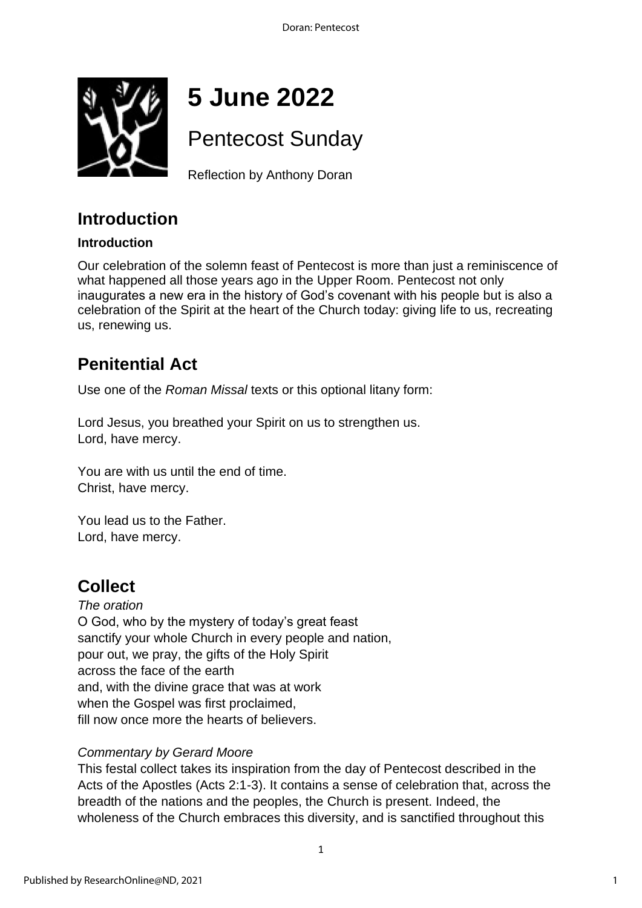

# **5 June 2022**

## Pentecost Sunday

Reflection by Anthony Doran

### **Introduction**

#### **Introduction**

Our celebration of the solemn feast of Pentecost is more than just a reminiscence of what happened all those years ago in the Upper Room. Pentecost not only inaugurates a new era in the history of God's covenant with his people but is also a celebration of the Spirit at the heart of the Church today: giving life to us, recreating us, renewing us.

### **Penitential Act**

Use one of the *Roman Missal* texts or this optional litany form:

Lord Jesus, you breathed your Spirit on us to strengthen us. Lord, have mercy.

You are with us until the end of time. Christ, have mercy.

You lead us to the Father. Lord, have mercy.

### **Collect**

*The oration* O God, who by the mystery of today's great feast sanctify your whole Church in every people and nation, pour out, we pray, the gifts of the Holy Spirit across the face of the earth and, with the divine grace that was at work when the Gospel was first proclaimed, fill now once more the hearts of believers.

### *Commentary by Gerard Moore*

This festal collect takes its inspiration from the day of Pentecost described in the Acts of the Apostles (Acts 2:1-3). It contains a sense of celebration that, across the breadth of the nations and the peoples, the Church is present. Indeed, the wholeness of the Church embraces this diversity, and is sanctified throughout this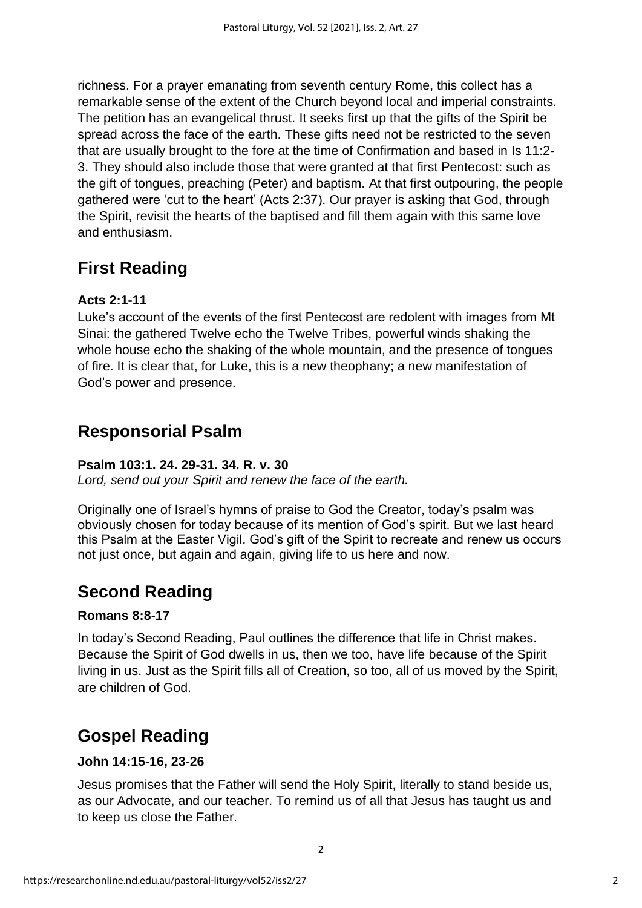richness. For a prayer emanating from seventh century Rome, this collect has a remarkable sense of the extent of the Church beyond local and imperial constraints. The petition has an evangelical thrust. It seeks first up that the gifts of the Spirit be spread across the face of the earth. These gifts need not be restricted to the seven that are usually brought to the fore at the time of Confirmation and based in Is 11:2- 3. They should also include those that were granted at that first Pentecost: such as the gift of tongues, preaching (Peter) and baptism. At that first outpouring, the people gathered were 'cut to the heart' (Acts 2:37). Our prayer is asking that God, through the Spirit, revisit the hearts of the baptised and fill them again with this same love and enthusiasm.

### **First Reading**

### **Acts 2:1-11**

Luke's account of the events of the first Pentecost are redolent with images from Mt Sinai: the gathered Twelve echo the Twelve Tribes, powerful winds shaking the whole house echo the shaking of the whole mountain, and the presence of tongues of fire. It is clear that, for Luke, this is a new theophany; a new manifestation of God's power and presence.

### **Responsorial Psalm**

#### **Psalm 103:1. 24. 29-31. 34. R. v. 30**

*Lord, send out your Spirit and renew the face of the earth.*

Originally one of Israel's hymns of praise to God the Creator, today's psalm was obviously chosen for today because of its mention of God's spirit. But we last heard this Psalm at the Easter Vigil. God's gift of the Spirit to recreate and renew us occurs not just once, but again and again, giving life to us here and now.

### **Second Reading**

### **Romans 8:8-17**

In today's Second Reading, Paul outlines the difference that life in Christ makes. Because the Spirit of God dwells in us, then we too, have life because of the Spirit living in us. Just as the Spirit fills all of Creation, so too, all of us moved by the Spirit, are children of God.

### **Gospel Reading**

#### **John 14:15-16, 23-26**

Jesus promises that the Father will send the Holy Spirit, literally to stand beside us, as our Advocate, and our teacher. To remind us of all that Jesus has taught us and to keep us close the Father.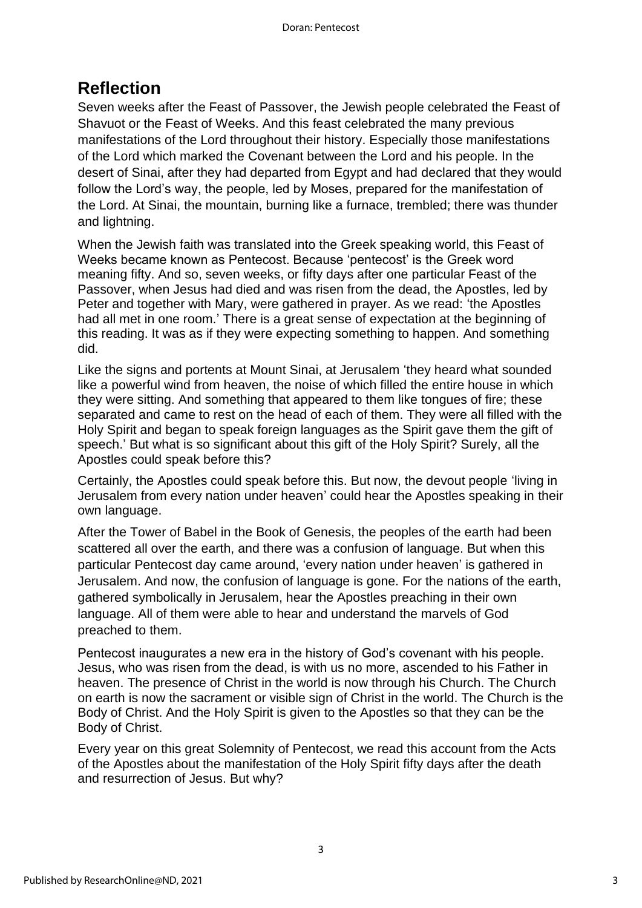### **Reflection**

Seven weeks after the Feast of Passover, the Jewish people celebrated the Feast of Shavuot or the Feast of Weeks. And this feast celebrated the many previous manifestations of the Lord throughout their history. Especially those manifestations of the Lord which marked the Covenant between the Lord and his people. In the desert of Sinai, after they had departed from Egypt and had declared that they would follow the Lord's way, the people, led by Moses, prepared for the manifestation of the Lord. At Sinai, the mountain, burning like a furnace, trembled; there was thunder and lightning.

When the Jewish faith was translated into the Greek speaking world, this Feast of Weeks became known as Pentecost. Because 'pentecost' is the Greek word meaning fifty. And so, seven weeks, or fifty days after one particular Feast of the Passover, when Jesus had died and was risen from the dead, the Apostles, led by Peter and together with Mary, were gathered in prayer. As we read: 'the Apostles had all met in one room.' There is a great sense of expectation at the beginning of this reading. It was as if they were expecting something to happen. And something did.

Like the signs and portents at Mount Sinai, at Jerusalem 'they heard what sounded like a powerful wind from heaven, the noise of which filled the entire house in which they were sitting. And something that appeared to them like tongues of fire; these separated and came to rest on the head of each of them. They were all filled with the Holy Spirit and began to speak foreign languages as the Spirit gave them the gift of speech.' But what is so significant about this gift of the Holy Spirit? Surely, all the Apostles could speak before this?

Certainly, the Apostles could speak before this. But now, the devout people 'living in Jerusalem from every nation under heaven' could hear the Apostles speaking in their own language.

After the Tower of Babel in the Book of Genesis, the peoples of the earth had been scattered all over the earth, and there was a confusion of language. But when this particular Pentecost day came around, 'every nation under heaven' is gathered in Jerusalem. And now, the confusion of language is gone. For the nations of the earth, gathered symbolically in Jerusalem, hear the Apostles preaching in their own language. All of them were able to hear and understand the marvels of God preached to them.

Pentecost inaugurates a new era in the history of God's covenant with his people. Jesus, who was risen from the dead, is with us no more, ascended to his Father in heaven. The presence of Christ in the world is now through his Church. The Church on earth is now the sacrament or visible sign of Christ in the world. The Church is the Body of Christ. And the Holy Spirit is given to the Apostles so that they can be the Body of Christ.

Every year on this great Solemnity of Pentecost, we read this account from the Acts of the Apostles about the manifestation of the Holy Spirit fifty days after the death and resurrection of Jesus. But why?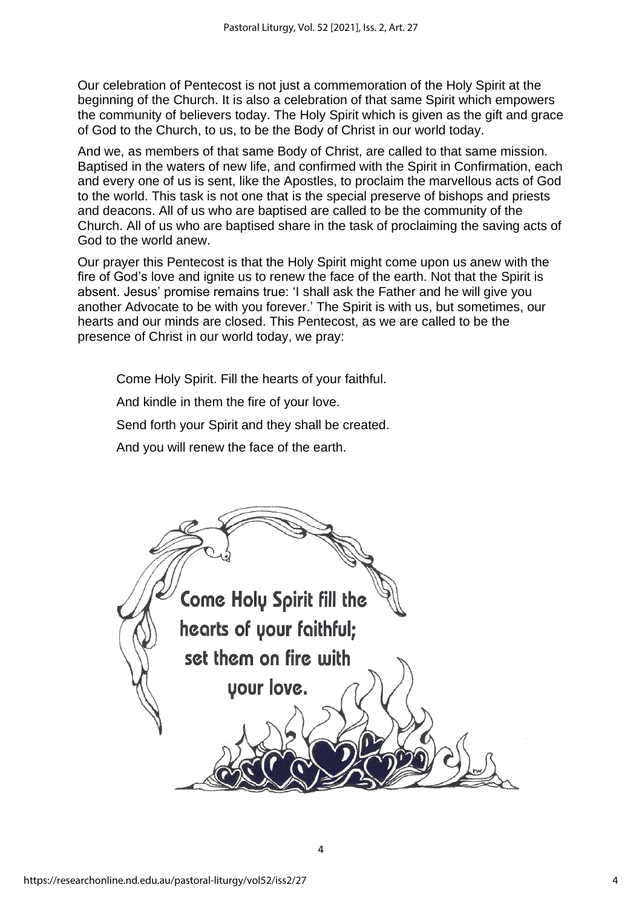Our celebration of Pentecost is not just a commemoration of the Holy Spirit at the beginning of the Church. It is also a celebration of that same Spirit which empowers the community of believers today. The Holy Spirit which is given as the gift and grace of God to the Church, to us, to be the Body of Christ in our world today.

And we, as members of that same Body of Christ, are called to that same mission. Baptised in the waters of new life, and confirmed with the Spirit in Confirmation, each and every one of us is sent, like the Apostles, to proclaim the marvellous acts of God to the world. This task is not one that is the special preserve of bishops and priests and deacons. All of us who are baptised are called to be the community of the Church. All of us who are baptised share in the task of proclaiming the saving acts of God to the world anew.

Our prayer this Pentecost is that the Holy Spirit might come upon us anew with the fire of God's love and ignite us to renew the face of the earth. Not that the Spirit is absent. Jesus' promise remains true: 'I shall ask the Father and he will give you another Advocate to be with you forever.' The Spirit is with us, but sometimes, our hearts and our minds are closed. This Pentecost, as we are called to be the presence of Christ in our world today, we pray:

Come Holy Spirit. Fill the hearts of your faithful.

And kindle in them the fire of your love.

Send forth your Spirit and they shall be created.

And you will renew the face of the earth.



4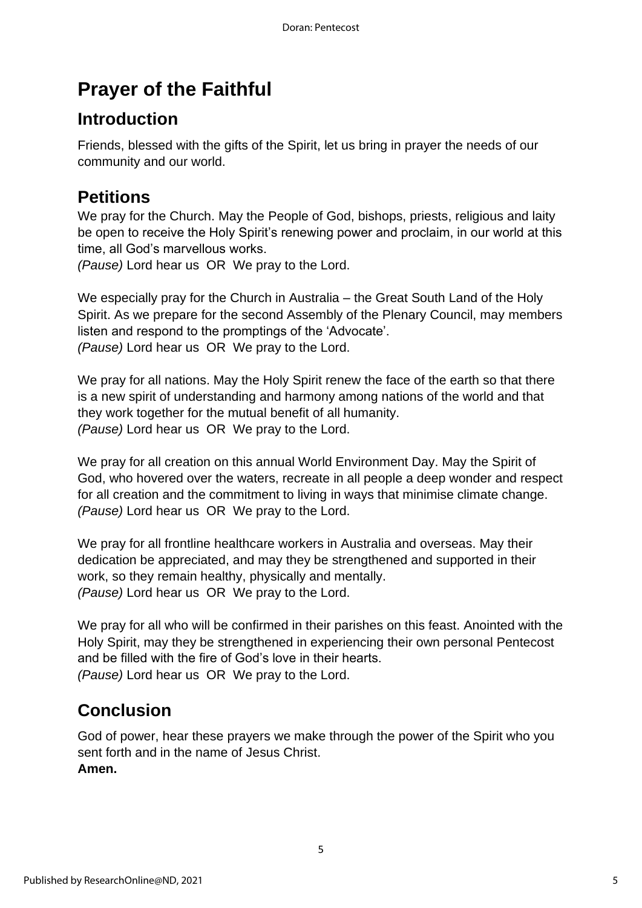## **Prayer of the Faithful**

### **Introduction**

Friends, blessed with the gifts of the Spirit, let us bring in prayer the needs of our community and our world.

### **Petitions**

We pray for the Church. May the People of God, bishops, priests, religious and laity be open to receive the Holy Spirit's renewing power and proclaim, in our world at this time, all God's marvellous works.

*(Pause)* Lord hear us OR We pray to the Lord.

We especially pray for the Church in Australia – the Great South Land of the Holy Spirit. As we prepare for the second Assembly of the Plenary Council, may members listen and respond to the promptings of the 'Advocate'. *(Pause)* Lord hear us OR We pray to the Lord.

We pray for all nations. May the Holy Spirit renew the face of the earth so that there is a new spirit of understanding and harmony among nations of the world and that they work together for the mutual benefit of all humanity. *(Pause)* Lord hear us OR We pray to the Lord.

We pray for all creation on this annual World Environment Day. May the Spirit of God, who hovered over the waters, recreate in all people a deep wonder and respect for all creation and the commitment to living in ways that minimise climate change. *(Pause)* Lord hear us OR We pray to the Lord.

We pray for all frontline healthcare workers in Australia and overseas. May their dedication be appreciated, and may they be strengthened and supported in their work, so they remain healthy, physically and mentally. *(Pause)* Lord hear us OR We pray to the Lord.

We pray for all who will be confirmed in their parishes on this feast. Anointed with the Holy Spirit, may they be strengthened in experiencing their own personal Pentecost and be filled with the fire of God's love in their hearts. *(Pause)* Lord hear us OR We pray to the Lord.

### **Conclusion**

God of power, hear these prayers we make through the power of the Spirit who you sent forth and in the name of Jesus Christ. **Amen.**

5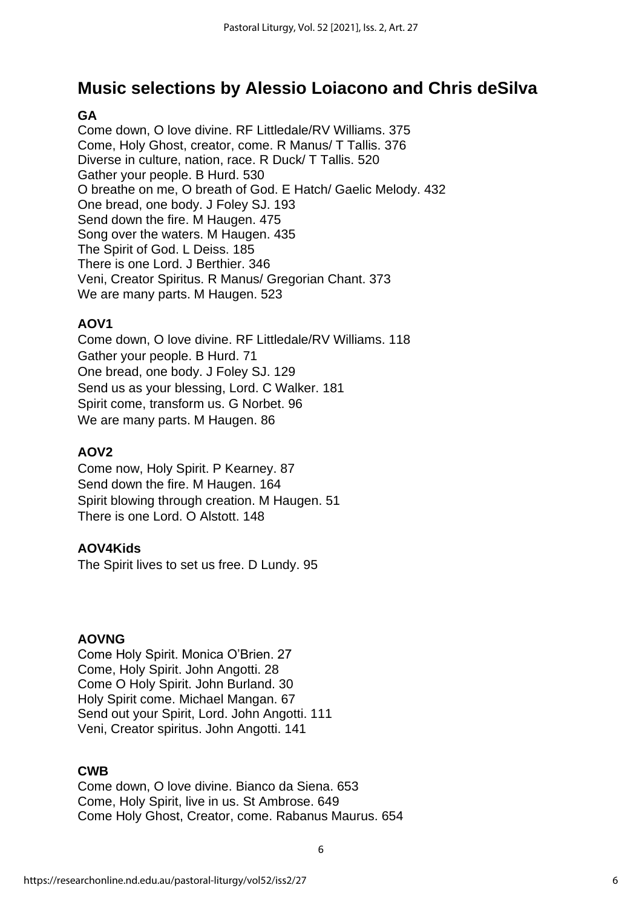### **Music selections by Alessio Loiacono and Chris deSilva**

#### **GA**

Come down, O love divine. RF Littledale/RV Williams. 375 Come, Holy Ghost, creator, come. R Manus/ T Tallis. 376 Diverse in culture, nation, race. R Duck/ T Tallis. 520 Gather your people. B Hurd. 530 O breathe on me, O breath of God. E Hatch/ Gaelic Melody. 432 One bread, one body. J Foley SJ. 193 Send down the fire. M Haugen. 475 Song over the waters. M Haugen. 435 The Spirit of God. L Deiss. 185 There is one Lord. J Berthier. 346 Veni, Creator Spiritus. R Manus/ Gregorian Chant. 373 We are many parts. M Haugen. 523

#### **AOV1**

Come down, O love divine. RF Littledale/RV Williams. 118 Gather your people. B Hurd. 71 One bread, one body. J Foley SJ. 129 Send us as your blessing, Lord. C Walker. 181 Spirit come, transform us. G Norbet. 96 We are many parts. M Haugen. 86

#### **AOV2**

Come now, Holy Spirit. P Kearney. 87 Send down the fire. M Haugen. 164 Spirit blowing through creation. M Haugen. 51 There is one Lord. O Alstott. 148

#### **AOV4Kids**

The Spirit lives to set us free. D Lundy. 95

#### **AOVNG**

Come Holy Spirit. Monica O'Brien. 27 Come, Holy Spirit. John Angotti. 28 Come O Holy Spirit. John Burland. 30 Holy Spirit come. Michael Mangan. 67 Send out your Spirit, Lord. John Angotti. 111 Veni, Creator spiritus. John Angotti. 141

#### **CWB**

Come down, O love divine. Bianco da Siena. 653 Come, Holy Spirit, live in us. St Ambrose. 649 Come Holy Ghost, Creator, come. Rabanus Maurus. 654